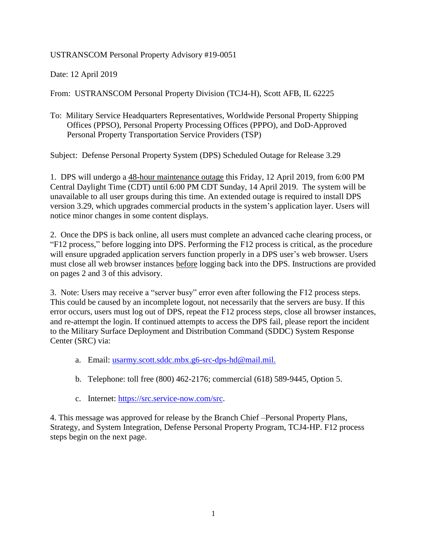USTRANSCOM Personal Property Advisory #19-0051

Date: 12 April 2019

From: USTRANSCOM Personal Property Division (TCJ4-H), Scott AFB, IL 62225

To: Military Service Headquarters Representatives, Worldwide Personal Property Shipping Offices (PPSO), Personal Property Processing Offices (PPPO), and DoD-Approved Personal Property Transportation Service Providers (TSP)

Subject: Defense Personal Property System (DPS) Scheduled Outage for Release 3.29

1. DPS will undergo a 48-hour maintenance outage this Friday, 12 April 2019, from 6:00 PM Central Daylight Time (CDT) until 6:00 PM CDT Sunday, 14 April 2019. The system will be unavailable to all user groups during this time. An extended outage is required to install DPS version 3.29, which upgrades commercial products in the system's application layer. Users will notice minor changes in some content displays.

2. Once the DPS is back online, all users must complete an advanced cache clearing process, or "F12 process," before logging into DPS. Performing the F12 process is critical, as the procedure will ensure upgraded application servers function properly in a DPS user's web browser. Users must close all web browser instances before logging back into the DPS. Instructions are provided on pages 2 and 3 of this advisory.

3. Note: Users may receive a "server busy" error even after following the F12 process steps. This could be caused by an incomplete logout, not necessarily that the servers are busy. If this error occurs, users must log out of DPS, repeat the F12 process steps, close all browser instances, and re-attempt the login. If continued attempts to access the DPS fail, please report the incident to the Military Surface Deployment and Distribution Command (SDDC) System Response Center (SRC) via:

- a. Email: [usarmy.scott.sddc.mbx.g6-src-dps-hd@mail.mil.](mailto:usarmy.scott.sddc.mbx.g6-src-dps-hd@mail.mil)
- b. Telephone: toll free (800) 462-2176; commercial (618) 589-9445, Option 5.
- c. Internet: [https://src.service-now.com/src.](https://src.service-now.com/src)

4. This message was approved for release by the Branch Chief –Personal Property Plans, Strategy, and System Integration, Defense Personal Property Program, TCJ4-HP. F12 process steps begin on the next page.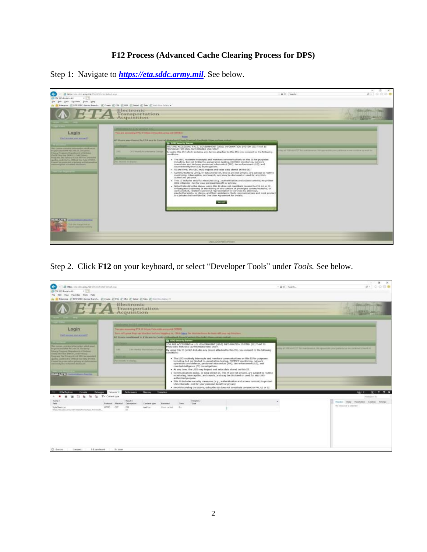## **F12 Process (Advanced Cache Clearing Process for DPS)**

Step 1: Navigate to *[https://eta.sddc.army.mil](https://eta.sddc.army.mil/)*. See below.



Step 2. Click **F12** on your keyboard, or select "Developer Tools" under *Tools.* See below.

|                                                                                                                             |                        |                                  |                                                        |                                                                                                                                                                |                        |                                                                                                           |  |                                                                                                                                                                              |  |               |                                                                                                        | $\infty$<br>$\alpha$<br>$\sim$ |
|-----------------------------------------------------------------------------------------------------------------------------|------------------------|----------------------------------|--------------------------------------------------------|----------------------------------------------------------------------------------------------------------------------------------------------------------------|------------------------|-----------------------------------------------------------------------------------------------------------|--|------------------------------------------------------------------------------------------------------------------------------------------------------------------------------|--|---------------|--------------------------------------------------------------------------------------------------------|--------------------------------|
| œ.<br>What was sent away will think the technical                                                                           |                        |                                  |                                                        |                                                                                                                                                                |                        |                                                                                                           |  |                                                                                                                                                                              |  | - A d. Search |                                                                                                        | 998.<br>$D = 1$                |
| E ETA 550 Portel +4.8                                                                                                       |                        |                                  |                                                        |                                                                                                                                                                |                        |                                                                                                           |  |                                                                                                                                                                              |  |               |                                                                                                        |                                |
| File Edit View Favorites, Tools Help                                                                                        |                        |                                  |                                                        |                                                                                                                                                                |                        |                                                                                                           |  |                                                                                                                                                                              |  |               |                                                                                                        |                                |
| (a) IS Tracella (E) DPS SDDC-Senior Branch. (E) Cours (E) DIA (E) IRA (E) Sidnet (E) Take (E) Hall Collary *                |                        |                                  |                                                        |                                                                                                                                                                |                        |                                                                                                           |  |                                                                                                                                                                              |  |               |                                                                                                        |                                |
| $T\mathbf{A}$ Transportation                                                                                                |                        |                                  |                                                        |                                                                                                                                                                |                        |                                                                                                           |  |                                                                                                                                                                              |  |               |                                                                                                        |                                |
|                                                                                                                             |                        |                                  |                                                        |                                                                                                                                                                |                        |                                                                                                           |  |                                                                                                                                                                              |  |               |                                                                                                        |                                |
|                                                                                                                             |                        |                                  |                                                        |                                                                                                                                                                |                        |                                                                                                           |  |                                                                                                                                                                              |  |               |                                                                                                        |                                |
|                                                                                                                             |                        | man ing it Calcumentation of all |                                                        |                                                                                                                                                                |                        |                                                                                                           |  |                                                                                                                                                                              |  |               |                                                                                                        |                                |
| Login                                                                                                                       |                        |                                  | You are accessing ETA @ https://shunkburmy.volt (WEEZ) |                                                                                                                                                                |                        |                                                                                                           |  |                                                                                                                                                                              |  |               |                                                                                                        |                                |
| Gall acced got scussed                                                                                                      |                        |                                  |                                                        |                                                                                                                                                                |                        | Types off your Page ag Blucker before begins in, (This have for Hotelpillers to furthelf your up blocker. |  |                                                                                                                                                                              |  |               |                                                                                                        |                                |
|                                                                                                                             |                        |                                  |                                                        |                                                                                                                                                                |                        | All lines resultanced in ETA are in Contral Streetfeet Total Contrast trackets show indust notes.         |  |                                                                                                                                                                              |  |               |                                                                                                        |                                |
|                                                                                                                             |                        |                                  |                                                        |                                                                                                                                                                | Ea DOD Security Server |                                                                                                           |  |                                                                                                                                                                              |  |               |                                                                                                        |                                |
| This system cancel is information which must                                                                                |                        |                                  |                                                        |                                                                                                                                                                |                        | PROVIDED FOR USS-AUTHORIZED USE DNLY.                                                                     |  | YOU ARE ACCESSING A U.S. GOVERNMENT (USG) INFORMATION SYSTEM (IS) THAT IS                                                                                                    |  |               |                                                                                                        |                                |
| the powerstall MW Art 140 21, Tar Avey<br>Primary Program. Dogor beard at Dahamat                                           | 1,911                  |                                  | <b>EPT UNKIN MAINFORTH CUSAIN</b>                      |                                                                                                                                                                |                        |                                                                                                           |  | By using this 15 (which listudes any device attached to this 15), you consent to the following                                                                               |  |               | ting at 9.000 AM COTT for readmissionist, the opposition your patriordation be continued by Joseph Rd. |                                |
| Elefti Shoreles MBS 13, Doll-Printey                                                                                        |                        |                                  |                                                        | canditions)                                                                                                                                                    |                        |                                                                                                           |  |                                                                                                                                                                              |  |               |                                                                                                        |                                |
| Program The Frience Act of 1974 as operated<br>skiplics, said it is few DWA of the Delis PYX306.                            |                        |                                  |                                                        |                                                                                                                                                                |                        |                                                                                                           |  | + The USG rootinely intercepts and monitors commenications on this IS for purposes                                                                                           |  |               |                                                                                                        |                                |
| Am necessity, Inc. Missiles,<br>If next to preturbel or private set information<br>chemistra police in Gardon alla basea e- |                        |                                  |                                                        | including, but not limited to, penetration testing, COMSEC monitoring, network<br>operations and defense, personnel misconduct (PH), taw enforcement (LE), and |                        |                                                                                                           |  |                                                                                                                                                                              |  |               |                                                                                                        |                                |
|                                                                                                                             |                        |                                  |                                                        |                                                                                                                                                                |                        | countertrialligence (CI) investigations.                                                                  |  |                                                                                                                                                                              |  |               |                                                                                                        |                                |
|                                                                                                                             |                        |                                  |                                                        |                                                                                                                                                                |                        |                                                                                                           |  | . At any three, the USG may limpect and selze data stored on this IS.                                                                                                        |  |               |                                                                                                        |                                |
| <b>ISALUTE   AND IN THE 1999</b>                                                                                            |                        |                                  |                                                        |                                                                                                                                                                |                        |                                                                                                           |  | Communications using, or data stored on, this Its are not private, are subject to rootine<br>monitoring, interception, and search, and may be disclosed or used for any USG- |  |               |                                                                                                        |                                |
|                                                                                                                             |                        |                                  |                                                        |                                                                                                                                                                | authorized purpose.    |                                                                                                           |  |                                                                                                                                                                              |  |               |                                                                                                        |                                |
|                                                                                                                             |                        |                                  |                                                        |                                                                                                                                                                |                        | USG Interests-not for your personal benefit or privacy.                                                   |  | . This its includes security measures (e.g., authentication and access controls) to protect                                                                                  |  |               |                                                                                                        |                                |
|                                                                                                                             |                        |                                  |                                                        |                                                                                                                                                                |                        |                                                                                                           |  | - Notwithstanding the above, using this IS does not constitute consent to PM, LE or CT                                                                                       |  |               |                                                                                                        |                                |
| DOM Pastorer<br>Debugaer                                                                                                    | Nebusik <sup>1</sup> F | <b>Feltomance</b>                | Memory                                                 | <b>Tradeton</b>                                                                                                                                                |                        |                                                                                                           |  |                                                                                                                                                                              |  |               |                                                                                                        | 7.8                            |
|                                                                                                                             | T - Cortent type       |                                  |                                                        |                                                                                                                                                                |                        |                                                                                                           |  |                                                                                                                                                                              |  |               |                                                                                                        | Pont (Ciria P)                 |
| Nome:                                                                                                                       |                        | <b>BaseR/</b>                    |                                                        |                                                                                                                                                                |                        | Industry /                                                                                                |  |                                                                                                                                                                              |  |               |                                                                                                        |                                |
| Falls                                                                                                                       | Photometic Mathold     | Drattplan                        | Denised bype                                           | <b>Faurund</b>                                                                                                                                                 | Times:                 | <b>Type:</b>                                                                                              |  |                                                                                                                                                                              |  |               | Healey Body Peterstein Cookie: Timings                                                                 |                                |
| StyleShaem.com                                                                                                              | HTTPS:<br><b>CITT</b>  | 330                              | text/cer                                               | draw cachai-                                                                                                                                                   | $-10.4$                |                                                                                                           |  |                                                                                                                                                                              |  |               | The resource is selected.                                                                              |                                |
| Integrate contemporary to a contemporary the meeting.                                                                       |                        | $\sim$                           |                                                        |                                                                                                                                                                |                        |                                                                                                           |  |                                                                                                                                                                              |  |               |                                                                                                        |                                |
|                                                                                                                             |                        |                                  |                                                        |                                                                                                                                                                |                        |                                                                                                           |  |                                                                                                                                                                              |  |               |                                                                                                        |                                |
|                                                                                                                             |                        |                                  |                                                        |                                                                                                                                                                |                        |                                                                                                           |  |                                                                                                                                                                              |  |               |                                                                                                        |                                |
|                                                                                                                             |                        |                                  |                                                        |                                                                                                                                                                |                        |                                                                                                           |  |                                                                                                                                                                              |  |               |                                                                                                        |                                |
|                                                                                                                             |                        |                                  |                                                        |                                                                                                                                                                |                        |                                                                                                           |  |                                                                                                                                                                              |  |               |                                                                                                        |                                |
|                                                                                                                             |                        |                                  |                                                        |                                                                                                                                                                |                        |                                                                                                           |  |                                                                                                                                                                              |  |               |                                                                                                        |                                |
|                                                                                                                             |                        |                                  |                                                        |                                                                                                                                                                |                        |                                                                                                           |  |                                                                                                                                                                              |  |               |                                                                                                        |                                |
|                                                                                                                             |                        |                                  |                                                        |                                                                                                                                                                |                        |                                                                                                           |  |                                                                                                                                                                              |  |               |                                                                                                        |                                |
|                                                                                                                             |                        |                                  |                                                        |                                                                                                                                                                |                        |                                                                                                           |  |                                                                                                                                                                              |  |               |                                                                                                        |                                |
| 0.6 travelamed                                                                                                              |                        |                                  |                                                        |                                                                                                                                                                |                        |                                                                                                           |  |                                                                                                                                                                              |  |               |                                                                                                        |                                |
| C Berger<br>7 Inquirity                                                                                                     | 343444                 |                                  |                                                        |                                                                                                                                                                |                        |                                                                                                           |  |                                                                                                                                                                              |  |               |                                                                                                        |                                |